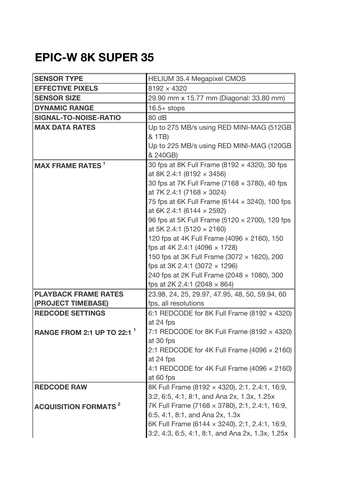## **EPIC-W 8K SUPER 35**

| <b>SENSOR TYPE</b>                     | <b>HELIUM 35.4 Megapixel CMOS</b>                                                             |
|----------------------------------------|-----------------------------------------------------------------------------------------------|
| <b>EFFECTIVE PIXELS</b>                | $8192 \times 4320$                                                                            |
| <b>SENSOR SIZE</b>                     | 29.90 mm x 15.77 mm (Diagonal: 33.80 mm)                                                      |
| <b>DYNAMIC RANGE</b>                   | $16.5+$ stops                                                                                 |
| SIGNAL-TO-NOISE-RATIO                  | 80 dB                                                                                         |
| <b>MAX DATA RATES</b>                  | Up to 275 MB/s using RED MINI-MAG (512GB                                                      |
|                                        | & 1TB)                                                                                        |
|                                        | Up to 225 MB/s using RED MINI-MAG (120GB                                                      |
|                                        | & 240GB)                                                                                      |
| <b>MAX FRAME RATES</b>                 | 30 fps at 8K Full Frame (8192 x 4320), 30 fps                                                 |
|                                        | at 8K 2.4:1 (8192 $\times$ 3456)                                                              |
|                                        | 30 fps at 7K Full Frame (7168 x 3780), 40 fps                                                 |
|                                        | at 7K 2.4:1 (7168 $\times$ 3024)                                                              |
|                                        | 75 fps at 6K Full Frame (6144 x 3240), 100 fps                                                |
|                                        | at 6K 2.4:1 (6144 $\times$ 2592)<br>96 fps at 5K Full Frame (5120 x 2700), 120 fps            |
|                                        | at 5K 2.4:1 (5120 $\times$ 2160)                                                              |
|                                        | 120 fps at 4K Full Frame (4096 x 2160), 150                                                   |
|                                        | fps at 4K 2.4:1 (4096 x 1728)                                                                 |
|                                        | 150 fps at 3K Full Frame (3072 x 1620), 200                                                   |
|                                        | fps at 3K 2.4:1 (3072 $\times$ 1296)                                                          |
|                                        | 240 fps at 2K Full Frame (2048 x 1080), 300                                                   |
|                                        | fps at 2K 2.4:1 (2048 $\times$ 864)                                                           |
| <b>PLAYBACK FRAME RATES</b>            | 23.98, 24, 25, 29.97, 47.95, 48, 50, 59.94, 60                                                |
| (PROJECT TIMEBASE)                     | fps, all resolutions                                                                          |
| <b>REDCODE SETTINGS</b>                | 6:1 REDCODE for 8K Full Frame (8192 $\times$ 4320)                                            |
|                                        | at 24 fps                                                                                     |
| <b>RANGE FROM 2:1 UP TO 22:1</b>       | 7:1 REDCODE for 8K Full Frame (8192 $\times$ 4320)                                            |
|                                        | at 30 fps                                                                                     |
|                                        | 2:1 REDCODE for 4K Full Frame (4096 $\times$ 2160)                                            |
|                                        | at 24 fps                                                                                     |
|                                        | 4:1 REDCODE for 4K Full Frame (4096 $\times$ 2160)                                            |
|                                        | at 60 fps                                                                                     |
| <b>REDCODE RAW</b>                     | 8K Full Frame (8192 × 4320), 2:1, 2.4:1, 16:9,                                                |
|                                        | 3:2, 6:5, 4:1, 8:1, and Ana 2x, 1.3x, 1.25x<br>7K Full Frame (7168 × 3780), 2:1, 2.4:1, 16:9, |
| <b>ACQUISITION FORMATS<sup>2</sup></b> | 6:5, 4:1, 8:1, and Ana 2x, 1.3x                                                               |
|                                        | 6K Full Frame (6144 x 3240), 2:1, 2.4:1, 16:9,                                                |
|                                        | 3:2, 4:3, 6:5, 4:1, 8:1, and Ana 2x, 1.3x, 1.25x                                              |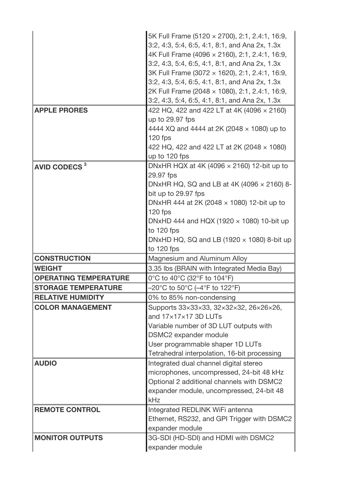|                              | 5K Full Frame (5120 x 2700), 2:1, 2.4:1, 16:9,         |
|------------------------------|--------------------------------------------------------|
|                              | 3:2, 4:3, 5:4, 6:5, 4:1, 8:1, and Ana 2x, 1.3x         |
|                              | 4K Full Frame (4096 x 2160), 2:1, 2.4:1, 16:9,         |
|                              | 3:2, 4:3, 5:4, 6:5, 4:1, 8:1, and Ana 2x, 1.3x         |
|                              | 3K Full Frame (3072 × 1620), 2:1, 2.4:1, 16:9,         |
|                              | 3:2, 4:3, 5:4, 6:5, 4:1, 8:1, and Ana 2x, 1.3x         |
|                              | 2K Full Frame (2048 x 1080), 2:1, 2.4:1, 16:9,         |
|                              | 3:2, 4:3, 5:4, 6:5, 4:1, 8:1, and Ana 2x, 1.3x         |
| <b>APPLE PRORES</b>          | 422 HQ, 422 and 422 LT at 4K (4096 x 2160)             |
|                              | up to 29.97 fps                                        |
|                              | 4444 XQ and 4444 at 2K (2048 $\times$ 1080) up to      |
|                              | 120 fps                                                |
|                              | 422 HQ, 422 and 422 LT at 2K (2048 x 1080)             |
|                              | up to 120 fps                                          |
| AVID CODECS <sup>3</sup>     | DNxHR HQX at 4K (4096 $\times$ 2160) 12-bit up to      |
|                              | 29.97 fps                                              |
|                              | DNxHR HQ, SQ and LB at 4K (4096 $\times$ 2160) 8-      |
|                              | bit up to 29.97 fps                                    |
|                              | DNxHR 444 at 2K (2048 $\times$ 1080) 12-bit up to      |
|                              | 120 fps                                                |
|                              | DNxHD 444 and HQX (1920 $\times$ 1080) 10-bit up       |
|                              | to 120 fps                                             |
|                              | DNxHD HQ, SQ and LB (1920 $\times$ 1080) 8-bit up      |
|                              |                                                        |
|                              | to 120 fps                                             |
| <b>CONSTRUCTION</b>          | Magnesium and Aluminum Alloy                           |
| <b>WEIGHT</b>                | 3.35 lbs (BRAIN with Integrated Media Bay)             |
| <b>OPERATING TEMPERATURE</b> | 0°C to 40°C (32°F to 104°F)                            |
| <b>STORAGE TEMPERATURE</b>   | -20°C to 50°C (–4°F to 122°F)                          |
| <b>RELATIVE HUMIDITY</b>     | 0% to 85% non-condensing                               |
| <b>COLOR MANAGEMENT</b>      | Supports 33×33×33, 32×32×32, 26×26×26,                 |
|                              | and 17×17×17 3D LUTs                                   |
|                              | Variable number of 3D LUT outputs with                 |
|                              | DSMC2 expander module                                  |
|                              | User programmable shaper 1D LUTs                       |
|                              | Tetrahedral interpolation, 16-bit processing           |
| <b>AUDIO</b>                 | Integrated dual channel digital stereo                 |
|                              | microphones, uncompressed, 24-bit 48 kHz               |
|                              | Optional 2 additional channels with DSMC2              |
|                              | expander module, uncompressed, 24-bit 48               |
|                              | kHz                                                    |
| <b>REMOTE CONTROL</b>        | Integrated REDLINK WiFi antenna                        |
|                              | Ethernet, RS232, and GPI Trigger with DSMC2            |
|                              | expander module                                        |
| <b>MONITOR OUTPUTS</b>       | 3G-SDI (HD-SDI) and HDMI with DSMC2<br>expander module |